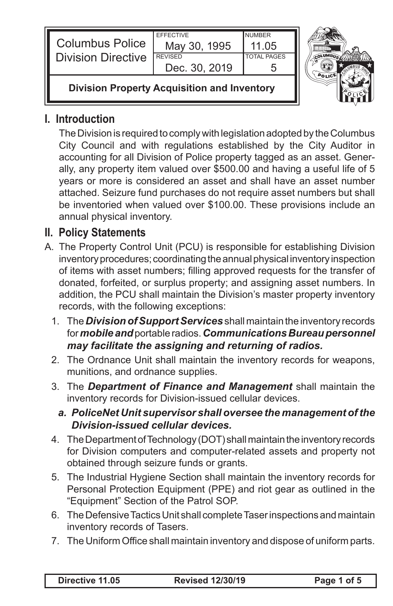| <b>Columbus Police</b><br>Division Directive       | <b>FFFFCTIVE</b><br>May 30, 1995<br><b>REVISED</b><br>Dec. 30, 2019 | <b>NUMBER</b><br>11 05<br><b>TOTAL PAGES</b> |  |
|----------------------------------------------------|---------------------------------------------------------------------|----------------------------------------------|--|
| <b>Division Property Acquisition and Inventory</b> |                                                                     |                                              |  |

## **I. Introduction**

The Division is required to comply with legislation adopted by the Columbus City Council and with regulations established by the City Auditor in accounting for all Division of Police property tagged as an asset. Generally, any property item valued over \$500.00 and having a useful life of 5 years or more is considered an asset and shall have an asset number attached. Seizure fund purchases do not require asset numbers but shall be inventoried when valued over \$100.00. These provisions include an annual physical inventory.

## **II. Policy Statements**

- A. The Property Control Unit (PCU) is responsible for establishing Division inventory procedures; coordinating the annual physical inventory inspection of items with asset numbers; filling approved requests for the transfer of donated, forfeited, or surplus property; and assigning asset numbers. In addition, the PCU shall maintain the Division's master property inventory records, with the following exceptions:
	- 1. The *Division of Support Services* shall maintain the inventory records for *mobile and* portable radios. *Communications Bureau personnel may facilitate the assigning and returning of radios.*
	- 2. The Ordnance Unit shall maintain the inventory records for weapons, munitions, and ordnance supplies.
	- 3. The *Department of Finance and Management* shall maintain the inventory records for Division-issued cellular devices.
		- *a. PoliceNet Unit supervisor shall oversee the management of the Division-issued cellular devices.*
	- 4. The Department of Technology (DOT) shall maintain the inventory records for Division computers and computer-related assets and property not obtained through seizure funds or grants.
	- 5. The Industrial Hygiene Section shall maintain the inventory records for Personal Protection Equipment (PPE) and riot gear as outlined in the "Equipment" Section of the Patrol SOP.
	- 6. The Defensive Tactics Unit shall complete Taser inspections and maintain inventory records of Tasers.
	- 7. The Uniform Office shall maintain inventory and dispose of uniform parts.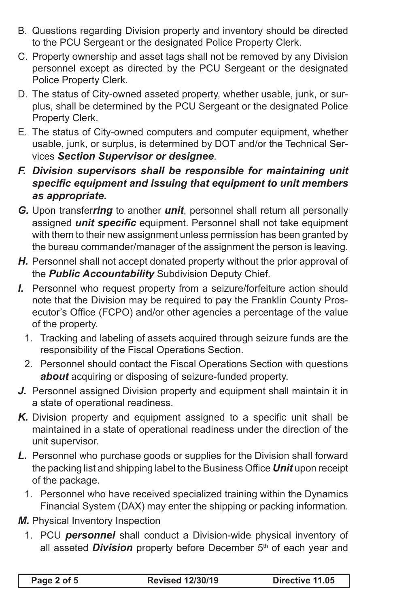- B. Questions regarding Division property and inventory should be directed to the PCU Sergeant or the designated Police Property Clerk.
- C. Property ownership and asset tags shall not be removed by any Division personnel except as directed by the PCU Sergeant or the designated Police Property Clerk.
- D. The status of City-owned asseted property, whether usable, junk, or surplus, shall be determined by the PCU Sergeant or the designated Police Property Clerk.
- E. The status of City-owned computers and computer equipment, whether usable, junk, or surplus, is determined by DOT and/or the Technical Services *Section Supervisor or designee*.
- *F. Division supervisors shall be responsible for maintaining unit specific equipment and issuing that equipment to unit members as appropriate.*
- *G.* Upon transfer*ring* to another *unit*, personnel shall return all personally assigned *unit specific* equipment. Personnel shall not take equipment with them to their new assignment unless permission has been granted by the bureau commander/manager of the assignment the person is leaving.
- *H.* Personnel shall not accept donated property without the prior approval of the *Public Accountability* Subdivision Deputy Chief.
- *I.* Personnel who request property from a seizure/forfeiture action should note that the Division may be required to pay the Franklin County Prosecutor's Office (FCPO) and/or other agencies a percentage of the value of the property.
	- 1. Tracking and labeling of assets acquired through seizure funds are the responsibility of the Fiscal Operations Section.
	- 2. Personnel should contact the Fiscal Operations Section with questions *about* acquiring or disposing of seizure-funded property.
- *J.* Personnel assigned Division property and equipment shall maintain it in a state of operational readiness.
- *K.* Division property and equipment assigned to a specific unit shall be maintained in a state of operational readiness under the direction of the unit supervisor.
- *L.* Personnel who purchase goods or supplies for the Division shall forward the packing list and shipping label to the Business Office *Unit* upon receipt of the package.
	- 1. Personnel who have received specialized training within the Dynamics Financial System (DAX) may enter the shipping or packing information.
- *M.* Physical Inventory Inspection
	- 1. PCU *personnel* shall conduct a Division-wide physical inventory of all asseted *Division* property before December 5<sup>th</sup> of each year and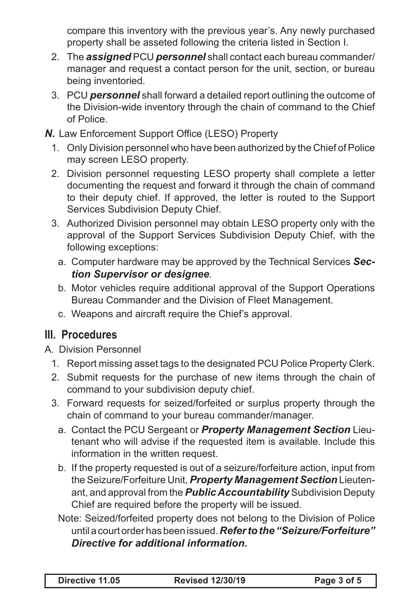compare this inventory with the previous year's. Any newly purchased property shall be asseted following the criteria listed in Section I.

- 2. The *assigned* PCU *personnel* shall contact each bureau commander/ manager and request a contact person for the unit, section, or bureau being inventoried.
- 3. PCU *personnel* shall forward a detailed report outlining the outcome of the Division-wide inventory through the chain of command to the Chief of Police.
- *N.* Law Enforcement Support Office (LESO) Property
	- 1. Only Division personnel who have been authorized by the Chief of Police may screen LESO property.
	- 2. Division personnel requesting LESO property shall complete a letter documenting the request and forward it through the chain of command to their deputy chief. If approved, the letter is routed to the Support Services Subdivision Deputy Chief.
	- 3. Authorized Division personnel may obtain LESO property only with the approval of the Support Services Subdivision Deputy Chief, with the following exceptions:
		- a. Computer hardware may be approved by the Technical Services *Section Supervisor or designee*.
		- b. Motor vehicles require additional approval of the Support Operations Bureau Commander and the Division of Fleet Management.
		- c. Weapons and aircraft require the Chief's approval.

## **III. Procedures**

- A. Division Personnel
	- 1. Report missing asset tags to the designated PCU Police Property Clerk.
	- 2. Submit requests for the purchase of new items through the chain of command to your subdivision deputy chief.
	- 3. Forward requests for seized/forfeited or surplus property through the chain of command to your bureau commander/manager.
		- a. Contact the PCU Sergeant or *Property Management Section* Lieutenant who will advise if the requested item is available. Include this information in the written request.
		- b. If the property requested is out of a seizure/forfeiture action, input from the Seizure/Forfeiture Unit, *Property Management Section* Lieutenant, and approval from the *Public Accountability* Subdivision Deputy Chief are required before the property will be issued.
		- Note: Seized/forfeited property does not belong to the Division of Police until a court order has been issued. *Refer to the "Seizure/Forfeiture" Directive for additional information.*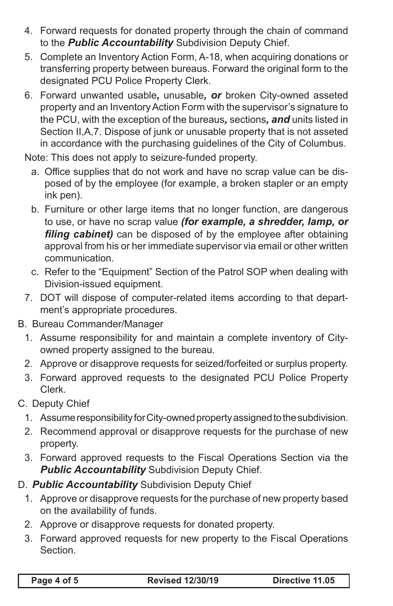- 4. Forward requests for donated property through the chain of command to the *Public Accountability* Subdivision Deputy Chief.
- 5. Complete an Inventory Action Form, A-18, when acquiring donations or transferring property between bureaus. Forward the original form to the designated PCU Police Property Clerk.
- 6. Forward unwanted usable*,* unusable*, or* broken City-owned asseted property and an Inventory Action Form with the supervisor's signature to the PCU, with the exception of the bureaus*,* sections*, and* units listed in Section II,A,7. Dispose of junk or unusable property that is not asseted in accordance with the purchasing guidelines of the City of Columbus.

Note: This does not apply to seizure-funded property.

- a. Office supplies that do not work and have no scrap value can be disposed of by the employee (for example, a broken stapler or an empty ink pen).
- b. Furniture or other large items that no longer function, are dangerous to use, or have no scrap value *(for example, a shredder, lamp, or filing cabinet)* can be disposed of by the employee after obtaining approval from his or her immediate supervisor via email or other written communication.
- c. Refer to the "Equipment" Section of the Patrol SOP when dealing with Division-issued equipment.
- 7. DOT will dispose of computer-related items according to that department's appropriate procedures.
- B. Bureau Commander/Manager
	- 1. Assume responsibility for and maintain a complete inventory of Cityowned property assigned to the bureau.
	- 2. Approve or disapprove requests for seized/forfeited or surplus property.
	- 3. Forward approved requests to the designated PCU Police Property Clerk.
- C. Deputy Chief
	- 1. Assume responsibility for City-owned property assigned to the subdivision.
	- 2. Recommend approval or disapprove requests for the purchase of new property.
	- 3. Forward approved requests to the Fiscal Operations Section via the **Public Accountability** Subdivision Deputy Chief.
- D. *Public Accountability* Subdivision Deputy Chief
	- 1. Approve or disapprove requests for the purchase of new property based on the availability of funds.
	- 2. Approve or disapprove requests for donated property.
	- 3. Forward approved requests for new property to the Fiscal Operations Section.